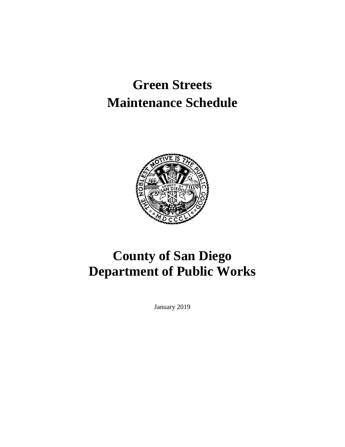# **Green Streets Maintenance Schedule**



# **County of San Diego Department of Public Works**

January 2019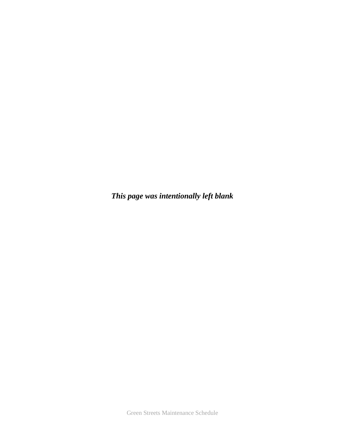*This page was intentionally left blank*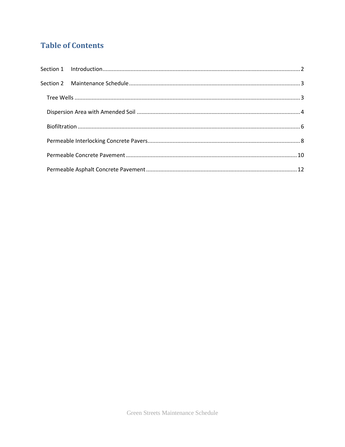### **Table of Contents**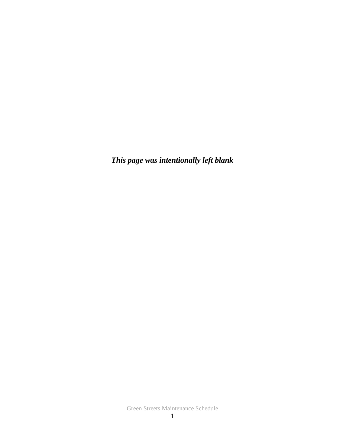*This page was intentionally left blank*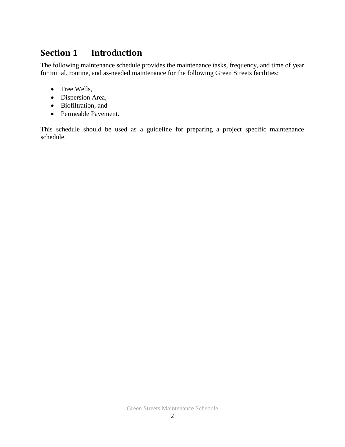### <span id="page-4-0"></span>**Section 1 Introduction**

The following maintenance schedule provides the maintenance tasks, frequency, and time of year for initial, routine, and as-needed maintenance for the following Green Streets facilities:

- Tree Wells,
- Dispersion Area,
- Biofiltration, and
- Permeable Pavement.

This schedule should be used as a guideline for preparing a project specific maintenance schedule.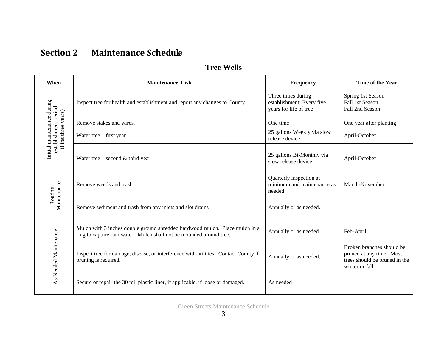## **Section 2 Maintenance Schedule**

#### **Tree Wells**

<span id="page-5-1"></span><span id="page-5-0"></span>

| When                                        | <b>Maintenance Task</b>                                                                                                                            | Frequency                                                                 | Time of the Year                                                                                          |
|---------------------------------------------|----------------------------------------------------------------------------------------------------------------------------------------------------|---------------------------------------------------------------------------|-----------------------------------------------------------------------------------------------------------|
| Initial maintenance during                  | Inspect tree for health and establishment and report any changes to County                                                                         | Three times during<br>establishment; Every five<br>years for life of tree | Spring 1st Season<br>Fall 1st Season<br>Fall 2nd Season                                                   |
|                                             | Remove stakes and wires.                                                                                                                           | One time                                                                  | One year after planting                                                                                   |
| establishment period<br>(First three years) | Water tree – first year                                                                                                                            | 25 gallons Weekly via slow<br>release device                              | April-October                                                                                             |
|                                             | Water tree – second $&$ third year                                                                                                                 | 25 gallons Bi-Monthly via<br>slow release device                          | April-October                                                                                             |
| Maintenance<br>Routine                      | Remove weeds and trash                                                                                                                             | Quarterly inspection at<br>minimum and maintenance as<br>needed.          | March-November                                                                                            |
|                                             | Remove sediment and trash from any inlets and slot drains                                                                                          | Annually or as needed.                                                    |                                                                                                           |
|                                             | Mulch with 3 inches double ground shredded hardwood mulch. Place mulch in a<br>ring to capture rain water. Mulch shall not be mounded around tree. | Annually or as needed.                                                    | Feb-April                                                                                                 |
| As-Needed Maintenance                       | Inspect tree for damage, disease, or interference with utilities. Contact County if<br>pruning is required.                                        | Annually or as needed.                                                    | Broken branches should be<br>pruned at any time. Most<br>trees should be pruned in the<br>winter or fall. |
|                                             | Secure or repair the 30 mil plastic liner, if applicable, if loose or damaged.                                                                     | As needed                                                                 |                                                                                                           |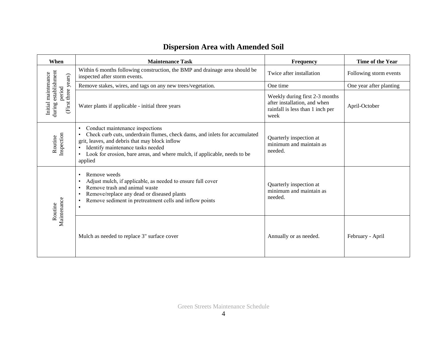<span id="page-6-0"></span>

| When                                                                         | <b>Maintenance Task</b>                                                                                                                                                                                                                                                                                   | <b>Frequency</b>                                                                                           | Time of the Year        |
|------------------------------------------------------------------------------|-----------------------------------------------------------------------------------------------------------------------------------------------------------------------------------------------------------------------------------------------------------------------------------------------------------|------------------------------------------------------------------------------------------------------------|-------------------------|
|                                                                              | Within 6 months following construction, the BMP and drainage area should be<br>inspected after storm events.                                                                                                                                                                                              | Twice after installation                                                                                   | Following storm events  |
|                                                                              | Remove stakes, wires, and tags on any new trees/vegetation.                                                                                                                                                                                                                                               | One time                                                                                                   | One year after planting |
| during establishment<br>Initial maintenance<br>(First three years)<br>period | Water plants if applicable - initial three years                                                                                                                                                                                                                                                          | Weekly during first 2-3 months<br>after installation, and when<br>rainfall is less than 1 inch per<br>week | April-October           |
| Inspection<br>Routine                                                        | Conduct maintenance inspections<br>$\bullet$<br>Check curb cuts, underdrain flumes, check dams, and inlets for accumulated<br>grit, leaves, and debris that may block inflow<br>Identify maintenance tasks needed<br>Look for erosion, bare areas, and where mulch, if applicable, needs to be<br>applied | Quarterly inspection at<br>minimum and maintain as<br>needed.                                              |                         |
| Maintenance<br>Routine                                                       | Remove weeds<br>$\bullet$<br>Adjust mulch, if applicable, as needed to ensure full cover<br>$\bullet$<br>Remove trash and animal waste<br>$\bullet$<br>Remove/replace any dead or diseased plants<br>$\bullet$<br>Remove sediment in pretreatment cells and inflow points<br>$\bullet$                    | Quarterly inspection at<br>minimum and maintain as<br>needed.                                              |                         |
|                                                                              | Mulch as needed to replace 3" surface cover                                                                                                                                                                                                                                                               | Annually or as needed.                                                                                     | February - April        |

### **Dispersion Area with Amended Soil**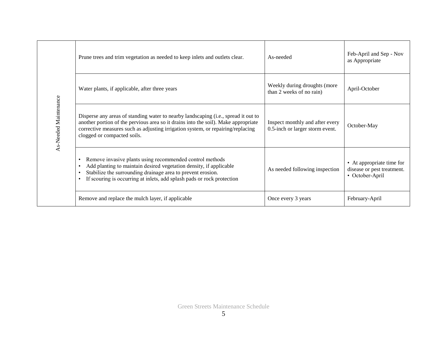| As-Needed Maintenance | Prune trees and trim vegetation as needed to keep inlets and outlets clear.                                                                                                                                                                                                                | As-needed                                                          | Feb-April and Sep - Nov<br>as Appropriate                                  |
|-----------------------|--------------------------------------------------------------------------------------------------------------------------------------------------------------------------------------------------------------------------------------------------------------------------------------------|--------------------------------------------------------------------|----------------------------------------------------------------------------|
|                       | Water plants, if applicable, after three years                                                                                                                                                                                                                                             | Weekly during droughts (more<br>than 2 weeks of no rain)           | April-October                                                              |
|                       | Disperse any areas of standing water to nearby landscaping (i.e., spread it out to<br>another portion of the pervious area so it drains into the soil). Make appropriate<br>corrective measures such as adjusting irrigation system, or repairing/replacing<br>clogged or compacted soils. | Inspect monthly and after every<br>0.5-inch or larger storm event. | October-May                                                                |
|                       | Remove invasive plants using recommended control methods<br>Add planting to maintain desired vegetation density, if applicable<br>Stabilize the surrounding drainage area to prevent erosion.<br>If scouring is occurring at inlets, add splash pads or rock protection                    | As needed following inspection                                     | • At appropriate time for<br>disease or pest treatment.<br>• October-April |
|                       | Remove and replace the mulch layer, if applicable                                                                                                                                                                                                                                          | Once every 3 years                                                 | February-April                                                             |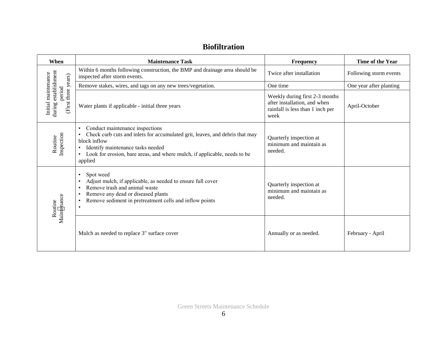#### **Biofiltration**

<span id="page-8-0"></span>

| When                                                                         | <b>Maintenance Task</b>                                                                                                                                                                                                                                                     | <b>Frequency</b>                                                                                           | Time of the Year        |
|------------------------------------------------------------------------------|-----------------------------------------------------------------------------------------------------------------------------------------------------------------------------------------------------------------------------------------------------------------------------|------------------------------------------------------------------------------------------------------------|-------------------------|
|                                                                              | Within 6 months following construction, the BMP and drainage area should be<br>inspected after storm events.                                                                                                                                                                | Twice after installation                                                                                   | Following storm events  |
|                                                                              | Remove stakes, wires, and tags on any new trees/vegetation.                                                                                                                                                                                                                 | One time                                                                                                   | One year after planting |
| during establishment<br>Initial maintenance<br>(First three years)<br>period | Water plants if applicable - initial three years                                                                                                                                                                                                                            | Weekly during first 2-3 months<br>after installation, and when<br>rainfall is less than 1 inch per<br>week | April-October           |
| Inspection<br>Routine                                                        | Conduct maintenance inspections<br>$\bullet$<br>Check curb cuts and inlets for accumulated grit, leaves, and debris that may<br>block inflow<br>Identify maintenance tasks needed<br>Look for erosion, bare areas, and where mulch, if applicable, needs to be<br>applied   | Quarterly inspection at<br>minimum and maintain as<br>needed.                                              |                         |
| Maintenance<br>Routine                                                       | Spot weed<br>$\bullet$<br>Adjust mulch, if applicable, as needed to ensure full cover<br>$\bullet$<br>Remove trash and animal waste<br>$\bullet$<br>Remove any dead or diseased plants<br>$\bullet$<br>Remove sediment in pretreatment cells and inflow points<br>$\bullet$ | Quarterly inspection at<br>minimum and maintain as<br>needed.                                              |                         |
|                                                                              | Mulch as needed to replace 3" surface cover                                                                                                                                                                                                                                 | Annually or as needed.                                                                                     | February - April        |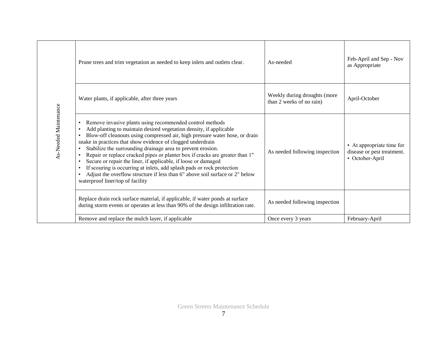| <b>As-Needed Maintenance</b> | Prune trees and trim vegetation as needed to keep inlets and outlets clear.                                                                                                                                                                                                                                                                                                                                                                                                                                                                                                                                                                                                                                                                     | As-needed                                                | Feb-April and Sep - Nov<br>as Appropriate                                  |
|------------------------------|-------------------------------------------------------------------------------------------------------------------------------------------------------------------------------------------------------------------------------------------------------------------------------------------------------------------------------------------------------------------------------------------------------------------------------------------------------------------------------------------------------------------------------------------------------------------------------------------------------------------------------------------------------------------------------------------------------------------------------------------------|----------------------------------------------------------|----------------------------------------------------------------------------|
|                              | Water plants, if applicable, after three years                                                                                                                                                                                                                                                                                                                                                                                                                                                                                                                                                                                                                                                                                                  | Weekly during droughts (more<br>than 2 weeks of no rain) | April-October                                                              |
|                              | Remove invasive plants using recommended control methods<br>Add planting to maintain desired vegetation density, if applicable<br>$\bullet$<br>Blow-off cleanouts using compressed air, high pressure water hose, or drain<br>snake in practices that show evidence of clogged underdrain<br>Stabilize the surrounding drainage area to prevent erosion.<br>Repair or replace cracked pipes or planter box if cracks are greater than 1"<br>$\bullet$<br>Secure or repair the liner, if applicable, if loose or damaged<br>$\bullet$<br>If scouring is occurring at inlets, add splash pads or rock protection<br>$\bullet$<br>Adjust the overflow structure if less than 6" above soil surface or 2" below<br>waterproof liner/top of facility | As needed following inspection                           | • At appropriate time for<br>disease or pest treatment.<br>• October-April |
|                              | Replace drain rock surface material, if applicable, if water ponds at surface<br>during storm events or operates at less than 90% of the design infiltration rate.                                                                                                                                                                                                                                                                                                                                                                                                                                                                                                                                                                              | As needed following inspection                           |                                                                            |
|                              | Remove and replace the mulch layer, if applicable                                                                                                                                                                                                                                                                                                                                                                                                                                                                                                                                                                                                                                                                                               | Once every 3 years                                       | February-April                                                             |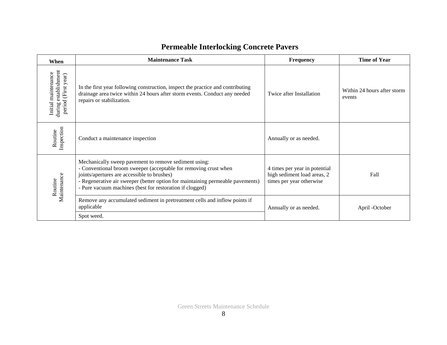<span id="page-10-0"></span>

| When                                                                  | <b>Maintenance Task</b>                                                                                                                                                                                                                                                                                                | <b>Frequency</b>                                                                         | <b>Time of Year</b>                   |
|-----------------------------------------------------------------------|------------------------------------------------------------------------------------------------------------------------------------------------------------------------------------------------------------------------------------------------------------------------------------------------------------------------|------------------------------------------------------------------------------------------|---------------------------------------|
| establishment<br>Initial maintenance<br>period (First year)<br>during | In the first year following construction, inspect the practice and contributing<br>drainage area twice within 24 hours after storm events. Conduct any needed<br>repairs or stabilization.                                                                                                                             | Twice after Installation                                                                 | Within 24 hours after storm<br>events |
| Inspection<br>Routine                                                 | Conduct a maintenance inspection                                                                                                                                                                                                                                                                                       | Annually or as needed.                                                                   |                                       |
| Maintenance<br>Routine                                                | Mechanically sweep pavement to remove sediment using:<br>- Conventional broom sweeper (acceptable for removing crust when<br>joints/apertures are accessible to brushes)<br>- Regenerative air sweeper (better option for maintaining permeable pavements)<br>- Pure vacuum machines (best for restoration if clogged) | 4 times per year in potential<br>high sediment load areas, 2<br>times per year otherwise | Fall                                  |
|                                                                       | Remove any accumulated sediment in pretreatment cells and inflow points if<br>applicable                                                                                                                                                                                                                               | Annually or as needed.                                                                   | April -October                        |
|                                                                       | Spot weed.                                                                                                                                                                                                                                                                                                             |                                                                                          |                                       |

## **Permeable Interlocking Concrete Pavers**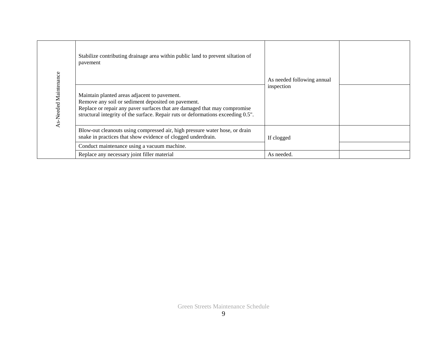| As-Needed Maintenance | Stabilize contributing drainage area within public land to prevent siltation of<br>pavement                                                                                                                                                                         | As needed following annual |  |
|-----------------------|---------------------------------------------------------------------------------------------------------------------------------------------------------------------------------------------------------------------------------------------------------------------|----------------------------|--|
|                       | Maintain planted areas adjacent to pavement.<br>Remove any soil or sediment deposited on pavement.<br>Replace or repair any paver surfaces that are damaged that may compromise<br>structural integrity of the surface. Repair ruts or deformations exceeding 0.5". | inspection                 |  |
|                       | Blow-out cleanouts using compressed air, high pressure water hose, or drain<br>snake in practices that show evidence of clogged underdrain.                                                                                                                         | If clogged                 |  |
|                       | Conduct maintenance using a vacuum machine.                                                                                                                                                                                                                         |                            |  |
|                       | Replace any necessary joint filler material                                                                                                                                                                                                                         | As needed.                 |  |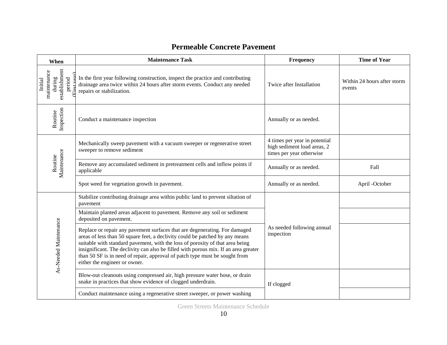#### **Permeable Concrete Pavement**

<span id="page-12-0"></span>

| When                                                                      | <b>Maintenance Task</b>                                                                                                                                                                                                                                                                                                                                                                                                                            | Frequency                                                                                | <b>Time of Year</b>                   |
|---------------------------------------------------------------------------|----------------------------------------------------------------------------------------------------------------------------------------------------------------------------------------------------------------------------------------------------------------------------------------------------------------------------------------------------------------------------------------------------------------------------------------------------|------------------------------------------------------------------------------------------|---------------------------------------|
| establishment<br>maintenance<br>Firet vear<br>during<br>period<br>Initial | In the first year following construction, inspect the practice and contributing<br>drainage area twice within 24 hours after storm events. Conduct any needed<br>repairs or stabilization.                                                                                                                                                                                                                                                         | Twice after Installation                                                                 | Within 24 hours after storm<br>events |
| Inspection<br>Routine                                                     | Conduct a maintenance inspection                                                                                                                                                                                                                                                                                                                                                                                                                   | Annually or as needed.                                                                   |                                       |
| Maintenance<br>Routine                                                    | Mechanically sweep pavement with a vacuum sweeper or regenerative street<br>sweeper to remove sediment                                                                                                                                                                                                                                                                                                                                             | 4 times per year in potential<br>high sediment load areas, 2<br>times per year otherwise |                                       |
|                                                                           | Remove any accumulated sediment in pretreatment cells and inflow points if<br>applicable                                                                                                                                                                                                                                                                                                                                                           | Annually or as needed.                                                                   | Fall                                  |
|                                                                           | Spot weed for vegetation growth in pavement.                                                                                                                                                                                                                                                                                                                                                                                                       | Annually or as needed.                                                                   | April -October                        |
|                                                                           | Stabilize contributing drainage area within public land to prevent siltation of<br>pavement                                                                                                                                                                                                                                                                                                                                                        |                                                                                          |                                       |
|                                                                           | Maintain planted areas adjacent to pavement. Remove any soil or sediment<br>deposited on pavement.                                                                                                                                                                                                                                                                                                                                                 |                                                                                          |                                       |
| As-Needed Maintenance                                                     | Replace or repair any pavement surfaces that are degenerating. For damaged<br>areas of less than 50 square feet, a declivity could be patched by any means<br>suitable with standard pavement, with the loss of porosity of that area being<br>insignificant. The declivity can also be filled with porous mix. If an area greater<br>than 50 SF is in need of repair, approval of patch type must be sought from<br>either the engineer or owner. | As needed following annual<br>inspection                                                 |                                       |
|                                                                           | Blow-out cleanouts using compressed air, high pressure water hose, or drain<br>snake in practices that show evidence of clogged underdrain.                                                                                                                                                                                                                                                                                                        | If clogged                                                                               |                                       |
|                                                                           | Conduct maintenance using a regenerative street sweeper, or power washing                                                                                                                                                                                                                                                                                                                                                                          |                                                                                          |                                       |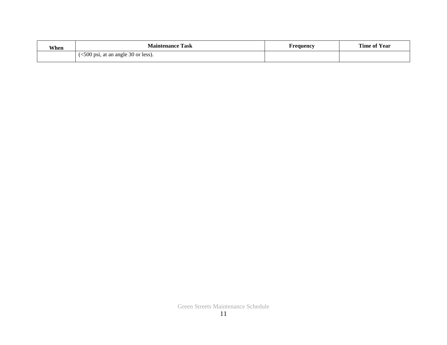| When | Task<br>Maintenance                                      | Frequencv | <b>FETO</b><br><b>Time of Year</b> |
|------|----------------------------------------------------------|-----------|------------------------------------|
|      | $<500$ psi, at an angle<br>$\approx$ 30 or less).<br>. . |           |                                    |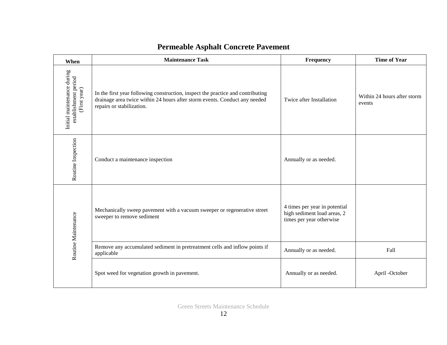<span id="page-14-0"></span>

| When                                                               | <b>Maintenance Task</b>                                                                                                                                                                    | Frequency                                                                                | <b>Time of Year</b>                   |
|--------------------------------------------------------------------|--------------------------------------------------------------------------------------------------------------------------------------------------------------------------------------------|------------------------------------------------------------------------------------------|---------------------------------------|
| Initial maintenance during<br>establishment period<br>(First year) | In the first year following construction, inspect the practice and contributing<br>drainage area twice within 24 hours after storm events. Conduct any needed<br>repairs or stabilization. | Twice after Installation                                                                 | Within 24 hours after storm<br>events |
| Routine Inspection                                                 | Conduct a maintenance inspection                                                                                                                                                           | Annually or as needed.                                                                   |                                       |
| Routine Maintenance                                                | Mechanically sweep pavement with a vacuum sweeper or regenerative street<br>sweeper to remove sediment                                                                                     | 4 times per year in potential<br>high sediment load areas, 2<br>times per year otherwise |                                       |
|                                                                    | Remove any accumulated sediment in pretreatment cells and inflow points if<br>applicable                                                                                                   | Annually or as needed.                                                                   | Fall                                  |
|                                                                    | Spot weed for vegetation growth in pavement.                                                                                                                                               | Annually or as needed.                                                                   | April -October                        |

## **Permeable Asphalt Concrete Pavement**